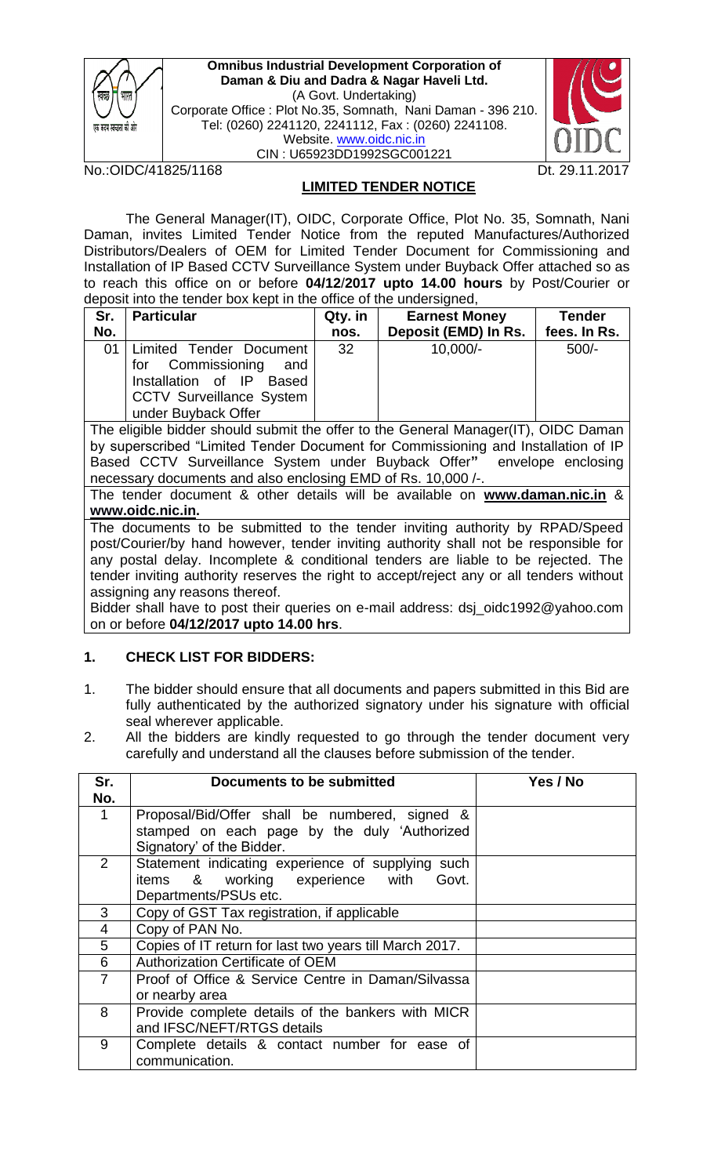

**Omnibus Industrial Development Corporation of Daman & Diu and Dadra & Nagar Haveli Ltd.** (A Govt. Undertaking) Corporate Office : Plot No.35, Somnath, Nani Daman - 396 210. Tel: (0260) 2241120, 2241112, Fax : (0260) 2241108. Website. [www.oidc.nic.in](http://www.oidc.nic.in/) CIN : U65923DD1992SGC001221





## **LIMITED TENDER NOTICE**

The General Manager(IT), OIDC, Corporate Office, Plot No. 35, Somnath, Nani Daman, invites Limited Tender Notice from the reputed Manufactures/Authorized Distributors/Dealers of OEM for Limited Tender Document for Commissioning and Installation of IP Based CCTV Surveillance System under Buyback Offer attached so as to reach this office on or before **04/12**/**2017 upto 14.00 hours** by Post/Courier or deposit into the tender box kept in the office of the undersigned,

| Sr. | <b>Particular</b>                                                                                                                                | Qty. in | <b>Earnest Money</b> | <b>Tender</b> |
|-----|--------------------------------------------------------------------------------------------------------------------------------------------------|---------|----------------------|---------------|
| No. |                                                                                                                                                  | nos.    | Deposit (EMD) In Rs. | fees. In Rs.  |
|     | 01   Limited Tender Document  <br>for Commissioning<br>and<br>Installation of IP Based<br><b>CCTV Surveillance System</b><br>under Buyback Offer | 32      | $10,000/-$           | $500/-$       |

The eligible bidder should submit the offer to the General Manager(IT), OIDC Daman by superscribed "Limited Tender Document for Commissioning and Installation of IP Based CCTV Surveillance System under Buyback Offer**"** envelope enclosing necessary documents and also enclosing EMD of Rs. 10,000 /-.

The tender document & other details will be available on **[www.daman.nic.in](http://www.daman.nic.in/)** & **[www.oidc.nic.in.](http://www.oidc.nic.in/)** 

The documents to be submitted to the tender inviting authority by RPAD/Speed post/Courier/by hand however, tender inviting authority shall not be responsible for any postal delay. Incomplete & conditional tenders are liable to be rejected. The tender inviting authority reserves the right to accept/reject any or all tenders without assigning any reasons thereof.

Bidder shall have to post their queries on e-mail address: dsj\_oidc1992@yahoo.com on or before **04/12/2017 upto 14.00 hrs**.

# **1. CHECK LIST FOR BIDDERS:**

- 1. The bidder should ensure that all documents and papers submitted in this Bid are fully authenticated by the authorized signatory under his signature with official seal wherever applicable.
- 2. All the bidders are kindly requested to go through the tender document very carefully and understand all the clauses before submission of the tender.

| Sr.            | Documents to be submitted                                                                                                   | Yes / No |
|----------------|-----------------------------------------------------------------------------------------------------------------------------|----------|
| No.            |                                                                                                                             |          |
| 1              | Proposal/Bid/Offer shall be numbered, signed &<br>stamped on each page by the duly 'Authorized<br>Signatory' of the Bidder. |          |
| $\overline{2}$ | Statement indicating experience of supplying such<br>items & working experience with<br>Govt.<br>Departments/PSUs etc.      |          |
| 3              | Copy of GST Tax registration, if applicable                                                                                 |          |
| $\overline{4}$ | Copy of PAN No.                                                                                                             |          |
| 5              | Copies of IT return for last two years till March 2017.                                                                     |          |
| 6              | Authorization Certificate of OEM                                                                                            |          |
| $\overline{7}$ | Proof of Office & Service Centre in Daman/Silvassa<br>or nearby area                                                        |          |
| 8              | Provide complete details of the bankers with MICR<br>and IFSC/NEFT/RTGS details                                             |          |
| 9              | Complete details & contact number for ease of<br>communication.                                                             |          |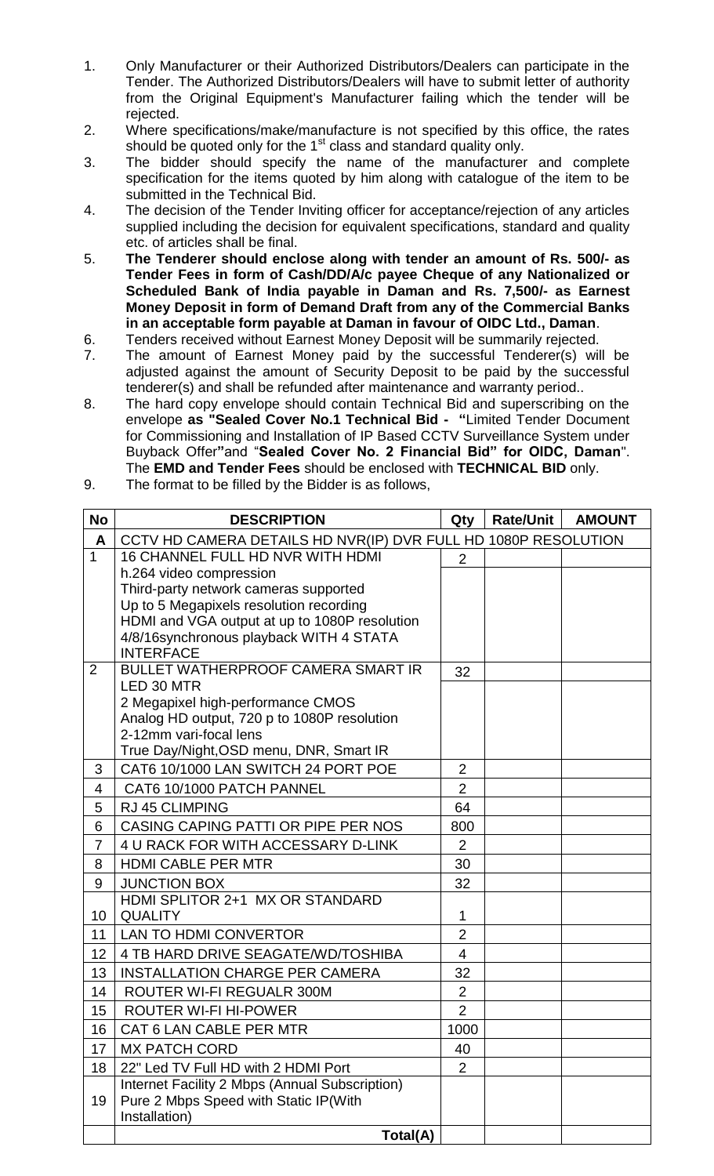- 1. Only Manufacturer or their Authorized Distributors/Dealers can participate in the Tender. The Authorized Distributors/Dealers will have to submit letter of authority from the Original Equipment's Manufacturer failing which the tender will be rejected.
- 2. Where specifications/make/manufacture is not specified by this office, the rates should be quoted only for the  $1<sup>st</sup>$  class and standard quality only.
- 3. The bidder should specify the name of the manufacturer and complete specification for the items quoted by him along with catalogue of the item to be submitted in the Technical Bid.
- 4. The decision of the Tender Inviting officer for acceptance/rejection of any articles supplied including the decision for equivalent specifications, standard and quality etc. of articles shall be final.
- 5. **The Tenderer should enclose along with tender an amount of Rs. 500/- as Tender Fees in form of Cash/DD/A/c payee Cheque of any Nationalized or Scheduled Bank of India payable in Daman and Rs. 7,500/- as Earnest Money Deposit in form of Demand Draft from any of the Commercial Banks in an acceptable form payable at Daman in favour of OIDC Ltd., Daman**.
- 6. Tenders received without Earnest Money Deposit will be summarily rejected.
- 7. The amount of Earnest Money paid by the successful Tenderer(s) will be adjusted against the amount of Security Deposit to be paid by the successful tenderer(s) and shall be refunded after maintenance and warranty period..
- 8. The hard copy envelope should contain Technical Bid and superscribing on the envelope **as "Sealed Cover No.1 Technical Bid - "**Limited Tender Document for Commissioning and Installation of IP Based CCTV Surveillance System under Buyback Offer**"**and "**Sealed Cover No. 2 Financial Bid" for OIDC, Daman**". The **EMD and Tender Fees** should be enclosed with **TECHNICAL BID** only.
- 9. The format to be filled by the Bidder is as follows,

| <b>No</b>      | <b>DESCRIPTION</b>                                                                       | Qty            | <b>Rate/Unit</b> | <b>AMOUNT</b> |
|----------------|------------------------------------------------------------------------------------------|----------------|------------------|---------------|
| A              | CCTV HD CAMERA DETAILS HD NVR(IP) DVR FULL HD 1080P RESOLUTION                           |                |                  |               |
| $\mathbf{1}$   | 16 CHANNEL FULL HD NVR WITH HDMI                                                         | 2              |                  |               |
|                | h.264 video compression                                                                  |                |                  |               |
|                | Third-party network cameras supported                                                    |                |                  |               |
|                | Up to 5 Megapixels resolution recording<br>HDMI and VGA output at up to 1080P resolution |                |                  |               |
|                | 4/8/16synchronous playback WITH 4 STATA                                                  |                |                  |               |
|                | <b>INTERFACE</b>                                                                         |                |                  |               |
| 2              | <b>BULLET WATHERPROOF CAMERA SMART IR</b>                                                | 32             |                  |               |
|                | LED 30 MTR                                                                               |                |                  |               |
|                | 2 Megapixel high-performance CMOS<br>Analog HD output, 720 p to 1080P resolution         |                |                  |               |
|                | 2-12mm vari-focal lens                                                                   |                |                  |               |
|                | True Day/Night, OSD menu, DNR, Smart IR                                                  |                |                  |               |
| 3              | CAT6 10/1000 LAN SWITCH 24 PORT POE                                                      | $\overline{2}$ |                  |               |
| 4              | CAT6 10/1000 PATCH PANNEL                                                                | $\overline{2}$ |                  |               |
| 5              | <b>RJ 45 CLIMPING</b>                                                                    | 64             |                  |               |
| 6              | CASING CAPING PATTI OR PIPE PER NOS                                                      | 800            |                  |               |
| $\overline{7}$ | 4 U RACK FOR WITH ACCESSARY D-LINK                                                       | $\overline{2}$ |                  |               |
| 8              | <b>HDMI CABLE PER MTR</b>                                                                | 30             |                  |               |
| 9              | <b>JUNCTION BOX</b>                                                                      | 32             |                  |               |
|                | HDMI SPLITOR 2+1 MX OR STANDARD                                                          |                |                  |               |
| 10             | <b>QUALITY</b>                                                                           | 1              |                  |               |
| 11             | <b>LAN TO HDMI CONVERTOR</b>                                                             | $\overline{2}$ |                  |               |
| 12             | 4 TB HARD DRIVE SEAGATE/WD/TOSHIBA                                                       | $\overline{4}$ |                  |               |
| 13             | <b>INSTALLATION CHARGE PER CAMERA</b>                                                    | 32             |                  |               |
| 14             | ROUTER WI-FI REGUALR 300M                                                                | $\overline{2}$ |                  |               |
| 15             | <b>ROUTER WI-FI HI-POWER</b>                                                             | $\overline{2}$ |                  |               |
| 16             | CAT 6 LAN CABLE PER MTR                                                                  | 1000           |                  |               |
| 17             | <b>MX PATCH CORD</b>                                                                     | 40             |                  |               |
| 18             | 22" Led TV Full HD with 2 HDMI Port                                                      | $\overline{2}$ |                  |               |
|                | Internet Facility 2 Mbps (Annual Subscription)                                           |                |                  |               |
| 19             | Pure 2 Mbps Speed with Static IP(With<br>Installation)                                   |                |                  |               |
|                | Total(A)                                                                                 |                |                  |               |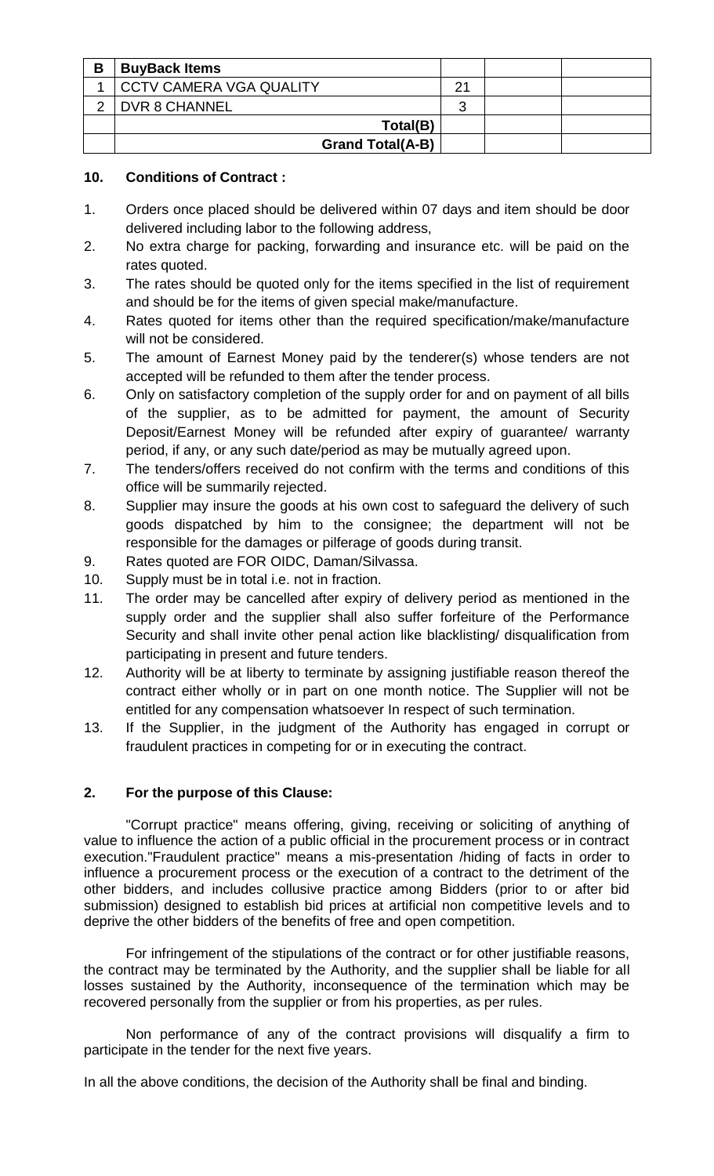| B | <b>BuyBack Items</b>    |    |  |
|---|-------------------------|----|--|
|   | CCTV CAMERA VGA QUALITY | 21 |  |
| C | DVR 8 CHANNEL           | З  |  |
|   | Total(B)                |    |  |
|   | <b>Grand Total(A-B)</b> |    |  |

## **10. Conditions of Contract :**

- 1. Orders once placed should be delivered within 07 days and item should be door delivered including labor to the following address,
- 2. No extra charge for packing, forwarding and insurance etc. will be paid on the rates quoted.
- 3. The rates should be quoted only for the items specified in the list of requirement and should be for the items of given special make/manufacture.
- 4. Rates quoted for items other than the required specification/make/manufacture will not be considered.
- 5. The amount of Earnest Money paid by the tenderer(s) whose tenders are not accepted will be refunded to them after the tender process.
- 6. Only on satisfactory completion of the supply order for and on payment of all bills of the supplier, as to be admitted for payment, the amount of Security Deposit/Earnest Money will be refunded after expiry of guarantee/ warranty period, if any, or any such date/period as may be mutually agreed upon.
- 7. The tenders/offers received do not confirm with the terms and conditions of this office will be summarily rejected.
- 8. Supplier may insure the goods at his own cost to safeguard the delivery of such goods dispatched by him to the consignee; the department will not be responsible for the damages or pilferage of goods during transit.
- 9. Rates quoted are FOR OIDC, Daman/Silvassa.
- 10. Supply must be in total i.e. not in fraction.
- 11. The order may be cancelled after expiry of delivery period as mentioned in the supply order and the supplier shall also suffer forfeiture of the Performance Security and shall invite other penal action like blacklisting/ disqualification from participating in present and future tenders.
- 12. Authority will be at liberty to terminate by assigning justifiable reason thereof the contract either wholly or in part on one month notice. The Supplier will not be entitled for any compensation whatsoever In respect of such termination.
- 13. If the Supplier, in the judgment of the Authority has engaged in corrupt or fraudulent practices in competing for or in executing the contract.

# **2. For the purpose of this Clause:**

"Corrupt practice" means offering, giving, receiving or soliciting of anything of value to influence the action of a public official in the procurement process or in contract execution."Fraudulent practice" means a mis-presentation /hiding of facts in order to influence a procurement process or the execution of a contract to the detriment of the other bidders, and includes collusive practice among Bidders (prior to or after bid submission) designed to establish bid prices at artificial non competitive levels and to deprive the other bidders of the benefits of free and open competition.

For infringement of the stipulations of the contract or for other justifiable reasons, the contract may be terminated by the Authority, and the supplier shall be liable for all losses sustained by the Authority, inconsequence of the termination which may be recovered personally from the supplier or from his properties, as per rules.

Non performance of any of the contract provisions will disqualify a firm to participate in the tender for the next five years.

In all the above conditions, the decision of the Authority shall be final and binding.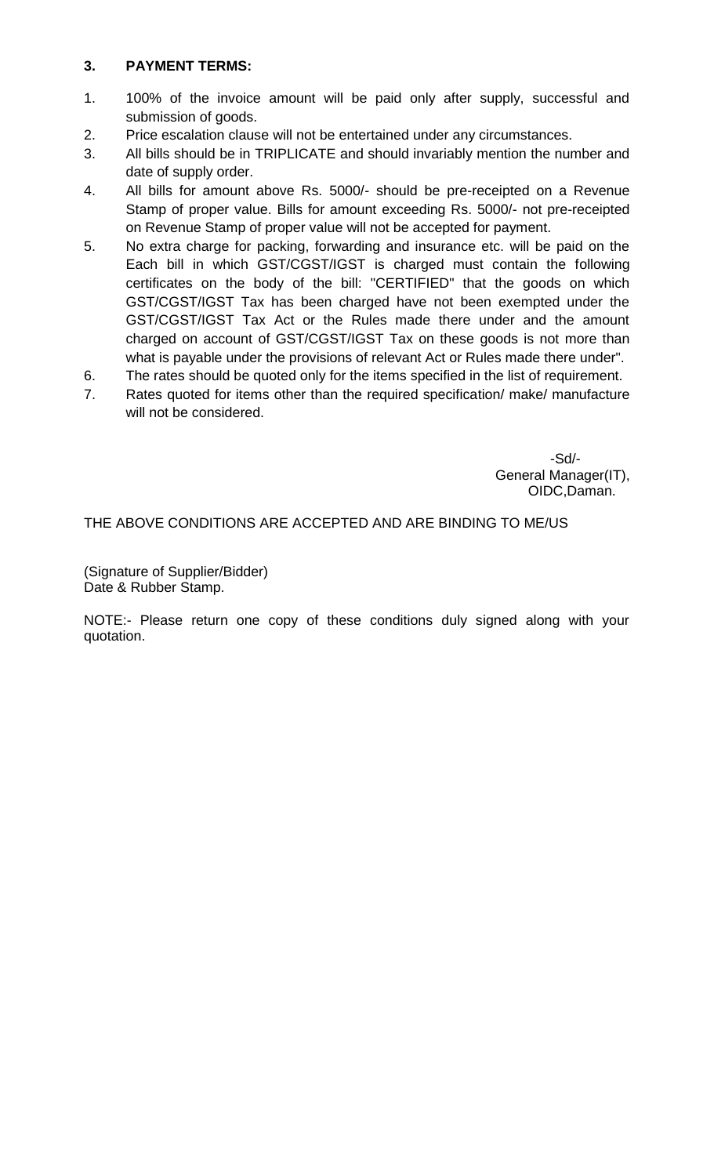## **3. PAYMENT TERMS:**

- 1. 100% of the invoice amount will be paid only after supply, successful and submission of goods.
- 2. Price escalation clause will not be entertained under any circumstances.
- 3. All bills should be in TRIPLICATE and should invariably mention the number and date of supply order.
- 4. All bills for amount above Rs. 5000/- should be pre-receipted on a Revenue Stamp of proper value. Bills for amount exceeding Rs. 5000/- not pre-receipted on Revenue Stamp of proper value will not be accepted for payment.
- 5. No extra charge for packing, forwarding and insurance etc. will be paid on the Each bill in which GST/CGST/IGST is charged must contain the following certificates on the body of the bill: "CERTIFIED" that the goods on which GST/CGST/IGST Tax has been charged have not been exempted under the GST/CGST/IGST Tax Act or the Rules made there under and the amount charged on account of GST/CGST/IGST Tax on these goods is not more than what is payable under the provisions of relevant Act or Rules made there under".
- 6. The rates should be quoted only for the items specified in the list of requirement.
- 7. Rates quoted for items other than the required specification/ make/ manufacture will not be considered.

 -Sd/- General Manager(IT), OIDC,Daman.

THE ABOVE CONDITIONS ARE ACCEPTED AND ARE BINDING TO ME/US

(Signature of Supplier/Bidder) Date & Rubber Stamp.

NOTE:- Please return one copy of these conditions duly signed along with your quotation.